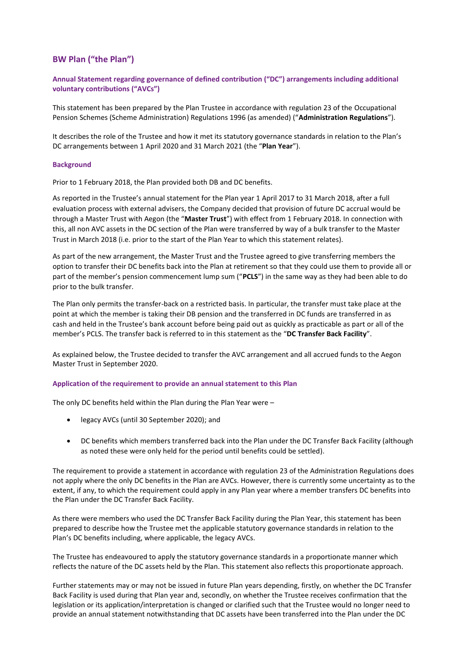## **BW Plan ("the Plan")**

**Annual Statement regarding governance of defined contribution ("DC") arrangements including additional voluntary contributions ("AVCs")**

This statement has been prepared by the Plan Trustee in accordance with regulation 23 of the Occupational Pension Schemes (Scheme Administration) Regulations 1996 (as amended) ("**Administration Regulations**").

It describes the role of the Trustee and how it met its statutory governance standards in relation to the Plan's DC arrangements between 1 April 2020 and 31 March 2021 (the "**Plan Year**").

#### **Background**

Prior to 1 February 2018, the Plan provided both DB and DC benefits.

As reported in the Trustee's annual statement for the Plan year 1 April 2017 to 31 March 2018, after a full evaluation process with external advisers, the Company decided that provision of future DC accrual would be through a Master Trust with Aegon (the "**Master Trust**") with effect from 1 February 2018. In connection with this, all non AVC assets in the DC section of the Plan were transferred by way of a bulk transfer to the Master Trust in March 2018 (i.e. prior to the start of the Plan Year to which this statement relates).

As part of the new arrangement, the Master Trust and the Trustee agreed to give transferring members the option to transfer their DC benefits back into the Plan at retirement so that they could use them to provide all or part of the member's pension commencement lump sum ("**PCLS**") in the same way as they had been able to do prior to the bulk transfer.

The Plan only permits the transfer-back on a restricted basis. In particular, the transfer must take place at the point at which the member is taking their DB pension and the transferred in DC funds are transferred in as cash and held in the Trustee's bank account before being paid out as quickly as practicable as part or all of the member's PCLS. The transfer back is referred to in this statement as the "**DC Transfer Back Facility**".

As explained below, the Trustee decided to transfer the AVC arrangement and all accrued funds to the Aegon Master Trust in September 2020.

#### **Application of the requirement to provide an annual statement to this Plan**

The only DC benefits held within the Plan during the Plan Year were –

- legacy AVCs (until 30 September 2020); and
- DC benefits which members transferred back into the Plan under the DC Transfer Back Facility (although as noted these were only held for the period until benefits could be settled).

The requirement to provide a statement in accordance with regulation 23 of the Administration Regulations does not apply where the only DC benefits in the Plan are AVCs. However, there is currently some uncertainty as to the extent, if any, to which the requirement could apply in any Plan year where a member transfers DC benefits into the Plan under the DC Transfer Back Facility.

As there were members who used the DC Transfer Back Facility during the Plan Year, this statement has been prepared to describe how the Trustee met the applicable statutory governance standards in relation to the Plan's DC benefits including, where applicable, the legacy AVCs.

The Trustee has endeavoured to apply the statutory governance standards in a proportionate manner which reflects the nature of the DC assets held by the Plan. This statement also reflects this proportionate approach.

Further statements may or may not be issued in future Plan years depending, firstly, on whether the DC Transfer Back Facility is used during that Plan year and, secondly, on whether the Trustee receives confirmation that the legislation or its application/interpretation is changed or clarified such that the Trustee would no longer need to provide an annual statement notwithstanding that DC assets have been transferred into the Plan under the DC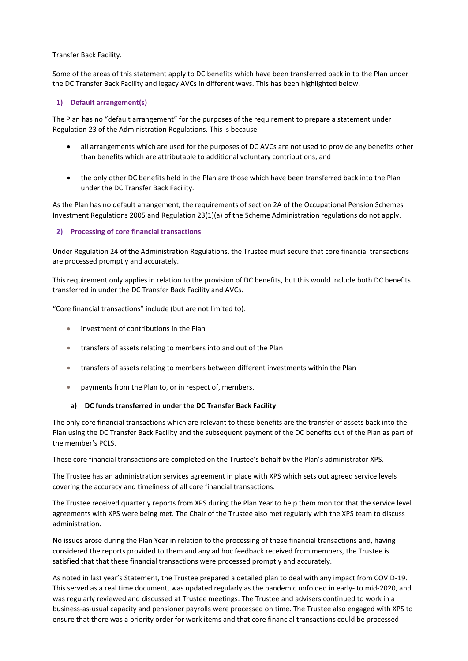Transfer Back Facility.

Some of the areas of this statement apply to DC benefits which have been transferred back in to the Plan under the DC Transfer Back Facility and legacy AVCs in different ways. This has been highlighted below.

#### **1) Default arrangement(s)**

The Plan has no "default arrangement" for the purposes of the requirement to prepare a statement under Regulation 23 of the Administration Regulations. This is because -

- all arrangements which are used for the purposes of DC AVCs are not used to provide any benefits other than benefits which are attributable to additional voluntary contributions; and
- the only other DC benefits held in the Plan are those which have been transferred back into the Plan under the DC Transfer Back Facility.

As the Plan has no default arrangement, the requirements of section 2A of the Occupational Pension Schemes Investment Regulations 2005 and Regulation 23(1)(a) of the Scheme Administration regulations do not apply.

#### **2) Processing of core financial transactions**

Under Regulation 24 of the Administration Regulations, the Trustee must secure that core financial transactions are processed promptly and accurately.

This requirement only applies in relation to the provision of DC benefits, but this would include both DC benefits transferred in under the DC Transfer Back Facility and AVCs.

"Core financial transactions" include (but are not limited to):

- investment of contributions in the Plan
- transfers of assets relating to members into and out of the Plan
- transfers of assets relating to members between different investments within the Plan
- payments from the Plan to, or in respect of, members.

#### **a) DC funds transferred in under the DC Transfer Back Facility**

The only core financial transactions which are relevant to these benefits are the transfer of assets back into the Plan using the DC Transfer Back Facility and the subsequent payment of the DC benefits out of the Plan as part of the member's PCLS.

These core financial transactions are completed on the Trustee's behalf by the Plan's administrator XPS.

The Trustee has an administration services agreement in place with XPS which sets out agreed service levels covering the accuracy and timeliness of all core financial transactions.

The Trustee received quarterly reports from XPS during the Plan Year to help them monitor that the service level agreements with XPS were being met. The Chair of the Trustee also met regularly with the XPS team to discuss administration.

No issues arose during the Plan Year in relation to the processing of these financial transactions and, having considered the reports provided to them and any ad hoc feedback received from members, the Trustee is satisfied that that these financial transactions were processed promptly and accurately.

As noted in last year's Statement, the Trustee prepared a detailed plan to deal with any impact from COVID-19. This served as a real time document, was updated regularly as the pandemic unfolded in early- to mid-2020, and was regularly reviewed and discussed at Trustee meetings. The Trustee and advisers continued to work in a business-as-usual capacity and pensioner payrolls were processed on time. The Trustee also engaged with XPS to ensure that there was a priority order for work items and that core financial transactions could be processed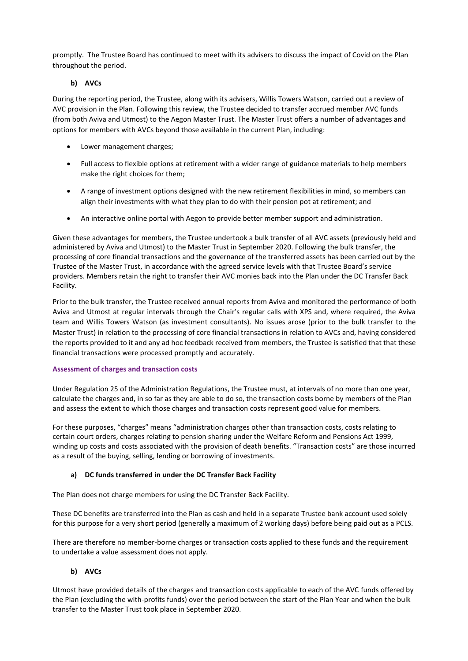promptly. The Trustee Board has continued to meet with its advisers to discuss the impact of Covid on the Plan throughout the period.

## **b) AVCs**

During the reporting period, the Trustee, along with its advisers, Willis Towers Watson, carried out a review of AVC provision in the Plan. Following this review, the Trustee decided to transfer accrued member AVC funds (from both Aviva and Utmost) to the Aegon Master Trust. The Master Trust offers a number of advantages and options for members with AVCs beyond those available in the current Plan, including:

- Lower management charges;
- Full access to flexible options at retirement with a wider range of guidance materials to help members make the right choices for them;
- A range of investment options designed with the new retirement flexibilities in mind, so members can align their investments with what they plan to do with their pension pot at retirement; and
- An interactive online portal with Aegon to provide better member support and administration.

Given these advantages for members, the Trustee undertook a bulk transfer of all AVC assets (previously held and administered by Aviva and Utmost) to the Master Trust in September 2020. Following the bulk transfer, the processing of core financial transactions and the governance of the transferred assets has been carried out by the Trustee of the Master Trust, in accordance with the agreed service levels with that Trustee Board's service providers. Members retain the right to transfer their AVC monies back into the Plan under the DC Transfer Back Facility.

Prior to the bulk transfer, the Trustee received annual reports from Aviva and monitored the performance of both Aviva and Utmost at regular intervals through the Chair's regular calls with XPS and, where required, the Aviva team and Willis Towers Watson (as investment consultants). No issues arose (prior to the bulk transfer to the Master Trust) in relation to the processing of core financial transactions in relation to AVCs and, having considered the reports provided to it and any ad hoc feedback received from members, the Trustee is satisfied that that these financial transactions were processed promptly and accurately.

## **Assessment of charges and transaction costs**

Under Regulation 25 of the Administration Regulations, the Trustee must, at intervals of no more than one year, calculate the charges and, in so far as they are able to do so, the transaction costs borne by members of the Plan and assess the extent to which those charges and transaction costs represent good value for members.

For these purposes, "charges" means "administration charges other than transaction costs, costs relating to certain court orders, charges relating to pension sharing under the Welfare Reform and Pensions Act 1999, winding up costs and costs associated with the provision of death benefits. "Transaction costs" are those incurred as a result of the buying, selling, lending or borrowing of investments.

## **a) DC funds transferred in under the DC Transfer Back Facility**

The Plan does not charge members for using the DC Transfer Back Facility.

These DC benefits are transferred into the Plan as cash and held in a separate Trustee bank account used solely for this purpose for a very short period (generally a maximum of 2 working days) before being paid out as a PCLS.

There are therefore no member-borne charges or transaction costs applied to these funds and the requirement to undertake a value assessment does not apply.

## **b) AVCs**

Utmost have provided details of the charges and transaction costs applicable to each of the AVC funds offered by the Plan (excluding the with-profits funds) over the period between the start of the Plan Year and when the bulk transfer to the Master Trust took place in September 2020.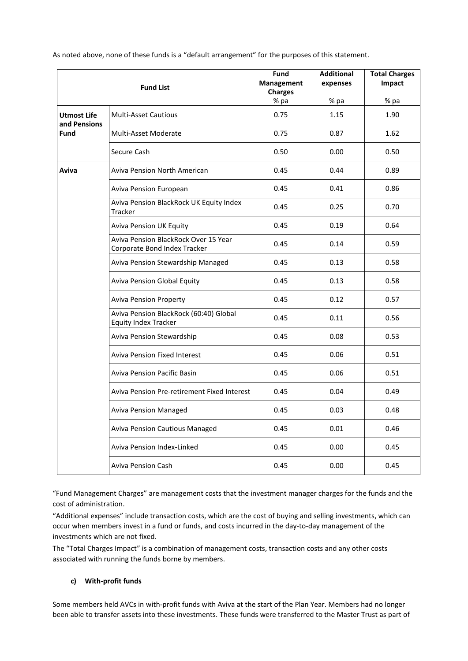|                                    | <b>Fund List</b>                                                      | <b>Fund</b><br>Management<br><b>Charges</b> | <b>Additional</b><br>expenses | <b>Total Charges</b><br>Impact |  |
|------------------------------------|-----------------------------------------------------------------------|---------------------------------------------|-------------------------------|--------------------------------|--|
|                                    |                                                                       | % pa                                        | % pa                          | % pa                           |  |
| <b>Utmost Life</b><br>and Pensions | <b>Multi-Asset Cautious</b>                                           | 0.75                                        | 1.15                          | 1.90                           |  |
| <b>Fund</b>                        | <b>Multi-Asset Moderate</b>                                           | 0.75                                        | 0.87                          | 1.62                           |  |
|                                    | Secure Cash                                                           | 0.50                                        | 0.00                          | 0.50                           |  |
| Aviva                              | <b>Aviva Pension North American</b>                                   | 0.45                                        | 0.44                          | 0.89                           |  |
|                                    | Aviva Pension European                                                | 0.45                                        | 0.41                          | 0.86                           |  |
|                                    | Aviva Pension BlackRock UK Equity Index<br>Tracker                    | 0.45                                        | 0.25                          | 0.70                           |  |
|                                    | <b>Aviva Pension UK Equity</b>                                        | 0.45                                        | 0.19                          | 0.64                           |  |
|                                    | Aviva Pension BlackRock Over 15 Year<br>Corporate Bond Index Tracker  | 0.45                                        | 0.14                          | 0.59                           |  |
|                                    | Aviva Pension Stewardship Managed                                     | 0.45                                        | 0.13                          | 0.58                           |  |
|                                    | <b>Aviva Pension Global Equity</b>                                    | 0.45                                        | 0.13                          | 0.58                           |  |
|                                    | <b>Aviva Pension Property</b>                                         | 0.45                                        | 0.12                          | 0.57                           |  |
|                                    | Aviva Pension BlackRock (60:40) Global<br><b>Equity Index Tracker</b> | 0.45                                        | 0.11                          | 0.56                           |  |
|                                    | Aviva Pension Stewardship                                             | 0.45                                        | 0.08                          | 0.53                           |  |
|                                    | <b>Aviva Pension Fixed Interest</b>                                   | 0.45                                        | 0.06                          | 0.51                           |  |
|                                    | <b>Aviva Pension Pacific Basin</b>                                    | 0.45                                        | 0.06                          | 0.51                           |  |
|                                    | Aviva Pension Pre-retirement Fixed Interest                           | 0.45                                        | 0.04                          | 0.49                           |  |
|                                    | <b>Aviva Pension Managed</b>                                          | 0.45                                        | 0.03                          | 0.48                           |  |
|                                    | Aviva Pension Cautious Managed                                        | 0.45                                        | 0.01                          | 0.46                           |  |
|                                    | Aviva Pension Index-Linked                                            | 0.45                                        | 0.00                          | 0.45                           |  |
|                                    | <b>Aviva Pension Cash</b>                                             | 0.45                                        | 0.00                          | 0.45                           |  |

As noted above, none of these funds is a "default arrangement" for the purposes of this statement.

"Fund Management Charges" are management costs that the investment manager charges for the funds and the cost of administration.

"Additional expenses" include transaction costs, which are the cost of buying and selling investments, which can occur when members invest in a fund or funds, and costs incurred in the day-to-day management of the investments which are not fixed.

The "Total Charges Impact" is a combination of management costs, transaction costs and any other costs associated with running the funds borne by members.

## **c) With-profit funds**

Some members held AVCs in with-profit funds with Aviva at the start of the Plan Year. Members had no longer been able to transfer assets into these investments. These funds were transferred to the Master Trust as part of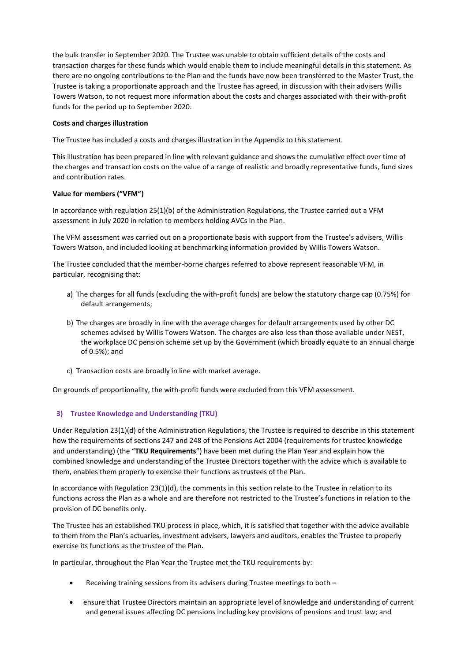the bulk transfer in September 2020. The Trustee was unable to obtain sufficient details of the costs and transaction charges for these funds which would enable them to include meaningful details in this statement. As there are no ongoing contributions to the Plan and the funds have now been transferred to the Master Trust, the Trustee is taking a proportionate approach and the Trustee has agreed, in discussion with their advisers Willis Towers Watson, to not request more information about the costs and charges associated with their with-profit funds for the period up to September 2020.

#### **Costs and charges illustration**

The Trustee has included a costs and charges illustration in the Appendix to this statement.

This illustration has been prepared in line with relevant guidance and shows the cumulative effect over time of the charges and transaction costs on the value of a range of realistic and broadly representative funds, fund sizes and contribution rates.

### **Value for members ("VFM")**

In accordance with regulation 25(1)(b) of the Administration Regulations, the Trustee carried out a VFM assessment in July 2020 in relation to members holding AVCs in the Plan.

The VFM assessment was carried out on a proportionate basis with support from the Trustee's advisers, Willis Towers Watson, and included looking at benchmarking information provided by Willis Towers Watson.

The Trustee concluded that the member-borne charges referred to above represent reasonable VFM, in particular, recognising that:

- a) The charges for all funds (excluding the with-profit funds) are below the statutory charge cap (0.75%) for default arrangements;
- b) The charges are broadly in line with the average charges for default arrangements used by other DC schemes advised by Willis Towers Watson. The charges are also less than those available under NEST, the workplace DC pension scheme set up by the Government (which broadly equate to an annual charge of 0.5%); and
- c) Transaction costs are broadly in line with market average.

On grounds of proportionality, the with-profit funds were excluded from this VFM assessment.

## **3) Trustee Knowledge and Understanding (TKU)**

Under Regulation 23(1)(d) of the Administration Regulations, the Trustee is required to describe in this statement how the requirements of sections 247 and 248 of the Pensions Act 2004 (requirements for trustee knowledge and understanding) (the "**TKU Requirements**") have been met during the Plan Year and explain how the combined knowledge and understanding of the Trustee Directors together with the advice which is available to them, enables them properly to exercise their functions as trustees of the Plan.

In accordance with Regulation 23(1)(d), the comments in this section relate to the Trustee in relation to its functions across the Plan as a whole and are therefore not restricted to the Trustee's functions in relation to the provision of DC benefits only.

The Trustee has an established TKU process in place, which, it is satisfied that together with the advice available to them from the Plan's actuaries, investment advisers, lawyers and auditors, enables the Trustee to properly exercise its functions as the trustee of the Plan.

In particular, throughout the Plan Year the Trustee met the TKU requirements by:

- Receiving training sessions from its advisers during Trustee meetings to both –
- ensure that Trustee Directors maintain an appropriate level of knowledge and understanding of current and general issues affecting DC pensions including key provisions of pensions and trust law; and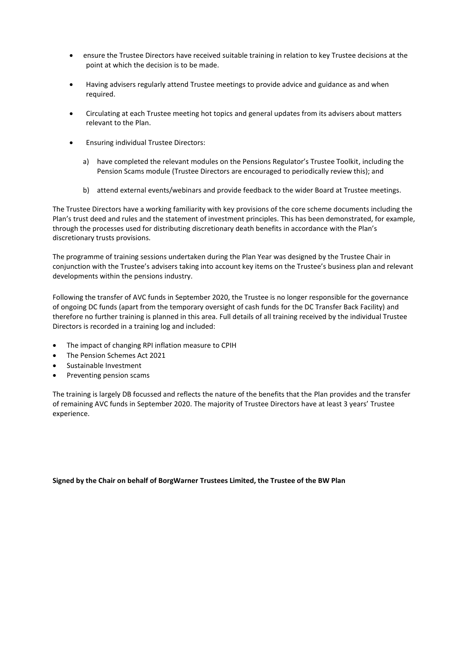- ensure the Trustee Directors have received suitable training in relation to key Trustee decisions at the point at which the decision is to be made.
- Having advisers regularly attend Trustee meetings to provide advice and guidance as and when required.
- Circulating at each Trustee meeting hot topics and general updates from its advisers about matters relevant to the Plan.
- Ensuring individual Trustee Directors:
	- a) have completed the relevant modules on the Pensions Regulator's Trustee Toolkit, including the Pension Scams module (Trustee Directors are encouraged to periodically review this); and
	- b) attend external events/webinars and provide feedback to the wider Board at Trustee meetings.

The Trustee Directors have a working familiarity with key provisions of the core scheme documents including the Plan's trust deed and rules and the statement of investment principles. This has been demonstrated, for example, through the processes used for distributing discretionary death benefits in accordance with the Plan's discretionary trusts provisions.

The programme of training sessions undertaken during the Plan Year was designed by the Trustee Chair in conjunction with the Trustee's advisers taking into account key items on the Trustee's business plan and relevant developments within the pensions industry.

Following the transfer of AVC funds in September 2020, the Trustee is no longer responsible for the governance of ongoing DC funds (apart from the temporary oversight of cash funds for the DC Transfer Back Facility) and therefore no further training is planned in this area. Full details of all training received by the individual Trustee Directors is recorded in a training log and included:

- The impact of changing RPI inflation measure to CPIH
- The Pension Schemes Act 2021
- Sustainable Investment
- Preventing pension scams

The training is largely DB focussed and reflects the nature of the benefits that the Plan provides and the transfer of remaining AVC funds in September 2020. The majority of Trustee Directors have at least 3 years' Trustee experience.

**Signed by the Chair on behalf of BorgWarner Trustees Limited, the Trustee of the BW Plan**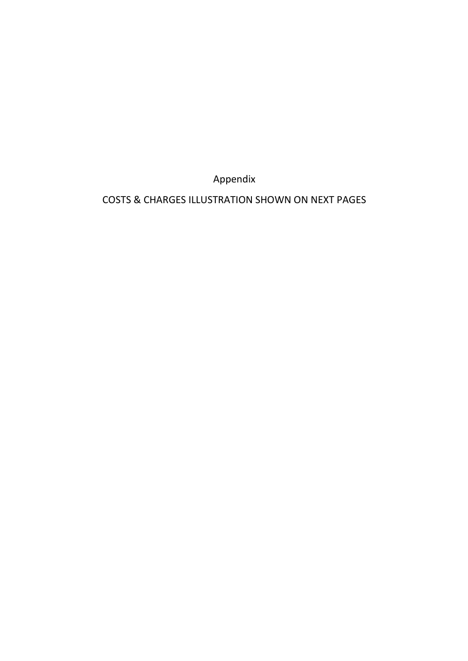Appendix

COSTS & CHARGES ILLUSTRATION SHOWN ON NEXT PAGES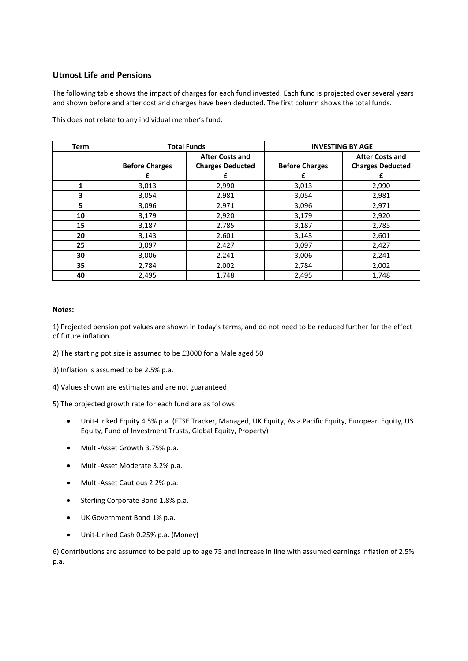## **Utmost Life and Pensions**

The following table shows the impact of charges for each fund invested. Each fund is projected over several years and shown before and after cost and charges have been deducted. The first column shows the total funds.

| Term | <b>Total Funds</b>     |                         | <b>INVESTING BY AGE</b> |                         |  |
|------|------------------------|-------------------------|-------------------------|-------------------------|--|
|      | <b>After Costs and</b> |                         |                         | <b>After Costs and</b>  |  |
|      | <b>Before Charges</b>  | <b>Charges Deducted</b> | <b>Before Charges</b>   | <b>Charges Deducted</b> |  |
|      |                        |                         |                         |                         |  |
| 1    | 3,013                  | 2,990                   | 3,013                   | 2,990                   |  |
| 3    | 3,054                  | 2,981                   | 3,054                   | 2,981                   |  |
| 5.   | 3,096                  | 2,971                   | 3,096                   | 2,971                   |  |
| 10   | 3,179                  | 2,920                   | 3,179                   | 2,920                   |  |
| 15   | 3,187                  | 2,785                   | 3,187                   | 2,785                   |  |
| 20   | 3,143                  | 2,601                   | 3,143                   | 2,601                   |  |
| 25   | 3,097                  | 2,427                   | 3,097                   | 2,427                   |  |
| 30   | 3,006                  | 2,241                   | 3,006                   | 2,241                   |  |
| 35   | 2,784                  | 2,002                   | 2,784                   | 2,002                   |  |
| 40   | 2,495                  | 1,748                   | 2,495                   | 1,748                   |  |

This does not relate to any individual member's fund.

#### **Notes:**

1) Projected pension pot values are shown in today's terms, and do not need to be reduced further for the effect of future inflation.

- 2) The starting pot size is assumed to be £3000 for a Male aged 50
- 3) Inflation is assumed to be 2.5% p.a.
- 4) Values shown are estimates and are not guaranteed

5) The projected growth rate for each fund are as follows:

- Unit-Linked Equity 4.5% p.a. (FTSE Tracker, Managed, UK Equity, Asia Pacific Equity, European Equity, US Equity, Fund of Investment Trusts, Global Equity, Property)
- Multi-Asset Growth 3.75% p.a.
- Multi-Asset Moderate 3.2% p.a.
- Multi-Asset Cautious 2.2% p.a.
- Sterling Corporate Bond 1.8% p.a.
- UK Government Bond 1% p.a.
- Unit-Linked Cash 0.25% p.a. (Money)

6) Contributions are assumed to be paid up to age 75 and increase in line with assumed earnings inflation of 2.5% p.a.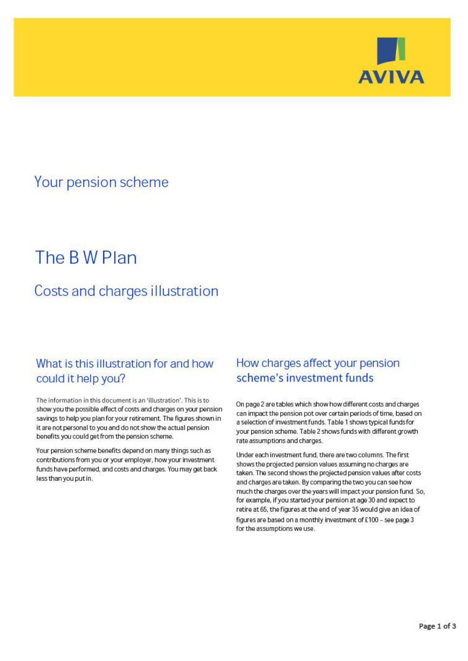

# Your pension scheme

# The BW Plan

# Costs and charges illustration

# What is this illustration for and how could it help you?

The information in this document is an 'illustration'. This is to show you the possible effect of costs and charges on your pension savings to help you plan for your retirement. The figures shown in it are not personal to you and do not show the actual pension benefits you could get from the pension scheme.

Your pension scheme benefits depend on many things such as contributions from you or your employer, how your investment funds have performed, and costs and charges. You may get back less than you put in.

# How charges affect your pension scheme's investment funds

On page 2 are tables which show how different costs and charges can impact the pension pot over certain periods of time, based on a selection of investment funds. Table 1 shows typical funds for your pension scheme. Table 2 shows funds with different growth rate assumptions and charges.

Under each investment fund, there are two columns. The first shows the projected pension values assuming no charges are taken. The second shows the projected pension values after costs and charges are taken. By comparing the two you can see how much the charges over the years will impact your pension fund. So, for example, if you started your pension at age 30 and expect to retire at 65, the figures at the end of year 35 would give an idea of figures are based on a monthly investment of £100 - see page 3 for the assumptions we use.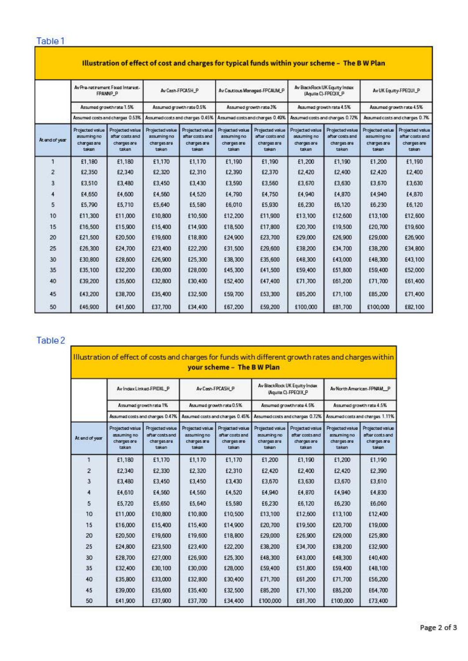# Table 1 and 1 and 1 and 1 and 1 and 1 and 1 and 1 and 1 and 1 and 1 and 1 and 1 and 1 and 1 and 1 and 1 and 1

| At end of year | Av Pro-ratinement Fixed Interest-<br>FPANNP_P<br>Assumed growth rate 1.5%<br>Assumed costs and charges 0.53% |         | Av Cash-FPCASH_P<br>Assumed growth rate 0.5%<br>Assumed costs and charges 0.45% |         | Av Cautious Managed-FPCAUM_P<br>Assumed growth rate 3%<br>Assumed costs and charges 0.49% |         | Av BlackRock UK Equity Index<br>(Aguila C)-FPEOIX_P<br>Assumed growth rate 4.5%<br>Assumed costs and charges 0.72% |         | Av UK Equity-FPEQUI_P<br>Assumed growth rate 4.5%<br>Assumed costs and charges 0.7% |         |                                                        |                                                            |                                                        |                                                            |                                                        |                                                            |                                                        |                                                            |                                                        |                                                            |
|----------------|--------------------------------------------------------------------------------------------------------------|---------|---------------------------------------------------------------------------------|---------|-------------------------------------------------------------------------------------------|---------|--------------------------------------------------------------------------------------------------------------------|---------|-------------------------------------------------------------------------------------|---------|--------------------------------------------------------|------------------------------------------------------------|--------------------------------------------------------|------------------------------------------------------------|--------------------------------------------------------|------------------------------------------------------------|--------------------------------------------------------|------------------------------------------------------------|--------------------------------------------------------|------------------------------------------------------------|
|                |                                                                                                              |         |                                                                                 |         |                                                                                           |         |                                                                                                                    |         |                                                                                     |         | Projected value<br>assuming no<br>charges are<br>taken | Projected value<br>after costs and<br>charges are<br>takan | Projected value<br>assuming no<br>charges are<br>taken | Projected value<br>after costs and<br>charges are<br>taken | Projected value<br>assuming no<br>charges are<br>taken | Projected value<br>after costs and<br>charges are<br>taken | Projected value<br>assuming no<br>charges are<br>taken | Projected value<br>after costs and<br>charges are<br>taken | Projected value<br>assuming no<br>charges are<br>takın | Projected value<br>after costs and<br>charges are<br>taken |
|                |                                                                                                              |         |                                                                                 |         |                                                                                           |         |                                                                                                                    |         |                                                                                     |         | 1                                                      | £1,180                                                     | £1,180                                                 | £1.170                                                     | £1.170                                                 | £1.190                                                     | £1.190                                                 | £1,200                                                     | £1.190                                                 | £1,200                                                     |
|                | $\overline{2}$                                                                                               | £2,350  | £2,340                                                                          | £2,320  | £2,310                                                                                    | £2,390  | £2,370                                                                                                             | £2,420  | £2,400                                                                              | £2,420  | £2,400                                                 |                                                            |                                                        |                                                            |                                                        |                                                            |                                                        |                                                            |                                                        |                                                            |
| 3              | £3,510                                                                                                       | £3,480  | £3,450                                                                          | £3,430  | £3,590                                                                                    | £3,560  | £3,670                                                                                                             | £3,630  | £3,670                                                                              | £3,630  |                                                        |                                                            |                                                        |                                                            |                                                        |                                                            |                                                        |                                                            |                                                        |                                                            |
| 4              | £4,650                                                                                                       | £4,600  | £4,560                                                                          | £4,520  | £4,790                                                                                    | £4,750  | £4,940                                                                                                             | £4,870  | £4,940                                                                              | £4,870  |                                                        |                                                            |                                                        |                                                            |                                                        |                                                            |                                                        |                                                            |                                                        |                                                            |
| 5              | £5,790                                                                                                       | £5,710  | £5,640                                                                          | £5,580  | £6,010                                                                                    | £5,930  | £6,230                                                                                                             | £6,120  | £6,230                                                                              | £6,120  |                                                        |                                                            |                                                        |                                                            |                                                        |                                                            |                                                        |                                                            |                                                        |                                                            |
| 10             | £11,300                                                                                                      | £11,000 | £10,800                                                                         | £10,500 | £12,200                                                                                   | £11,900 | £13,100                                                                                                            | £12,600 | £13,100                                                                             | £12,600 |                                                        |                                                            |                                                        |                                                            |                                                        |                                                            |                                                        |                                                            |                                                        |                                                            |
| 15             | £16,500                                                                                                      | £15,900 | £15,400                                                                         | £14,900 | £18,500                                                                                   | £17,800 | £20,700                                                                                                            | £19,500 | £20,700                                                                             | £19,600 |                                                        |                                                            |                                                        |                                                            |                                                        |                                                            |                                                        |                                                            |                                                        |                                                            |
| 20             | £21,500                                                                                                      | £20,500 | £19,600                                                                         | £18,800 | £24,900                                                                                   | £23,700 | £29,000                                                                                                            | £26,900 | £29,000                                                                             | £26,900 |                                                        |                                                            |                                                        |                                                            |                                                        |                                                            |                                                        |                                                            |                                                        |                                                            |
| 25             | £26,300                                                                                                      | £24,700 | £23,400                                                                         | £22,200 | £31,500                                                                                   | £29,600 | £38,200                                                                                                            | £34,700 | £38,200                                                                             | £34,800 |                                                        |                                                            |                                                        |                                                            |                                                        |                                                            |                                                        |                                                            |                                                        |                                                            |
| 30             | £30,800                                                                                                      | £28,600 | £26,900                                                                         | £25,300 | £38,300                                                                                   | £35,600 | £48,300                                                                                                            | £43,000 | £48,300                                                                             | £43.100 |                                                        |                                                            |                                                        |                                                            |                                                        |                                                            |                                                        |                                                            |                                                        |                                                            |
| 35             | £35,100                                                                                                      | £32,200 | £30,000                                                                         | £28,000 | £45,300                                                                                   | £41,500 | £59,400                                                                                                            | £51,800 | £59,400                                                                             | £52,000 |                                                        |                                                            |                                                        |                                                            |                                                        |                                                            |                                                        |                                                            |                                                        |                                                            |
| 40             | £39,200                                                                                                      | £35,600 | £32,800                                                                         | £30,400 | £52,400                                                                                   | £47,400 | £71,700                                                                                                            | £61,200 | £71,700                                                                             | £61,400 |                                                        |                                                            |                                                        |                                                            |                                                        |                                                            |                                                        |                                                            |                                                        |                                                            |
| 45             | £43,200                                                                                                      | £38,700 | £35,400                                                                         | £32,500 | £59,700                                                                                   | £53,300 | £85,200                                                                                                            | £71,100 | £85,200                                                                             | £71,400 |                                                        |                                                            |                                                        |                                                            |                                                        |                                                            |                                                        |                                                            |                                                        |                                                            |
| 50             | £46,900                                                                                                      | £41,600 | £37,700                                                                         | £34,400 | £67,200                                                                                   | £59,200 | £100,000                                                                                                           | £81,700 | £100,000                                                                            | £82,100 |                                                        |                                                            |                                                        |                                                            |                                                        |                                                            |                                                        |                                                            |                                                        |                                                            |

# 

| At end of year | Av Index Linked-FPIDXL P<br>Assumed growth rate 1%<br>Assumed costs and charges 0.47% |         | Av Cash-FPCASH_P<br>Assumed growth rate 0.5%<br>Assumed costs and charges 0.45% |         | Av BlackRock UK Equity Index<br>(Aguila C)-FPEQIX_P<br>Assumed growth rate 4.5%<br>Assumed costs and charges 0.72% |         | Av North American-FPNAM P<br>Assumed growth rate 4.5%<br>Assumed costs and charges 1.11% |         |                                                        |                                                           |                                                        |                                                            |                                                        |                                                            |                                                        |                                                            |
|----------------|---------------------------------------------------------------------------------------|---------|---------------------------------------------------------------------------------|---------|--------------------------------------------------------------------------------------------------------------------|---------|------------------------------------------------------------------------------------------|---------|--------------------------------------------------------|-----------------------------------------------------------|--------------------------------------------------------|------------------------------------------------------------|--------------------------------------------------------|------------------------------------------------------------|--------------------------------------------------------|------------------------------------------------------------|
|                |                                                                                       |         |                                                                                 |         |                                                                                                                    |         |                                                                                          |         | Projected value<br>assuming no<br>charges are<br>taken | Projected value<br>after costs and<br>chargesare<br>taken | Projected value<br>assuming no<br>charges are<br>taken | Projected value<br>after costs and<br>charges are<br>taken | Projected value<br>assuming no<br>charges are<br>taken | Projected value<br>after costs and<br>changes are<br>takan | Projected value<br>assuming no<br>charges are<br>taken | Projected value<br>after costs and<br>charges are<br>taken |
|                |                                                                                       |         |                                                                                 |         |                                                                                                                    |         |                                                                                          |         | 1                                                      | £1,180                                                    | £1,170                                                 | £1,170                                                     | £1,170                                                 | £1,200                                                     | £1,190                                                 | £1,200                                                     |
|                | 2                                                                                     | £2,340  | £2,330                                                                          | £2,320  | £2,310                                                                                                             | £2,420  | £2,400                                                                                   | £2,420  | £2,390                                                 |                                                           |                                                        |                                                            |                                                        |                                                            |                                                        |                                                            |
| 3              | £3,480                                                                                | £3,450  | £3,450                                                                          | £3,430  | £3,670                                                                                                             | £3,630  | £3,670                                                                                   | £3,610  |                                                        |                                                           |                                                        |                                                            |                                                        |                                                            |                                                        |                                                            |
| 4              | £4,610                                                                                | £4,560  | £4,560                                                                          | £4,520  | £4,940                                                                                                             | £4,870  | £4.940                                                                                   | £4,830  |                                                        |                                                           |                                                        |                                                            |                                                        |                                                            |                                                        |                                                            |
| 5              | £5,720                                                                                | £5,650  | £5.640                                                                          | £5,580  | £6,230                                                                                                             | £6,120  | £6,230                                                                                   | £6,060  |                                                        |                                                           |                                                        |                                                            |                                                        |                                                            |                                                        |                                                            |
| 10             | £11,000                                                                               | £10,800 | £10,800                                                                         | £10,500 | £13,100                                                                                                            | £12,600 | £13,100                                                                                  | £12,400 |                                                        |                                                           |                                                        |                                                            |                                                        |                                                            |                                                        |                                                            |
| 15             | £16,000                                                                               | £15,400 | £15,400                                                                         | £14,900 | £20,700                                                                                                            | £19,500 | £20,700                                                                                  | £19,000 |                                                        |                                                           |                                                        |                                                            |                                                        |                                                            |                                                        |                                                            |
| 20             | £20,500                                                                               | £19,600 | £19,600                                                                         | £18,800 | £29,000                                                                                                            | £26,900 | £29,000                                                                                  | £25,800 |                                                        |                                                           |                                                        |                                                            |                                                        |                                                            |                                                        |                                                            |
| 25             | £24,800                                                                               | £23,500 | £23,400                                                                         | £22,200 | £38,200                                                                                                            | £34,700 | £38,200                                                                                  | £32,900 |                                                        |                                                           |                                                        |                                                            |                                                        |                                                            |                                                        |                                                            |
| 30             | £28,700                                                                               | £27,000 | £26,900                                                                         | £25,300 | £48,300                                                                                                            | £43.000 | £48,300                                                                                  | £40,400 |                                                        |                                                           |                                                        |                                                            |                                                        |                                                            |                                                        |                                                            |
| 35             | £32,400                                                                               | £30,100 | £30,000                                                                         | £28,000 | £59,400                                                                                                            | £51,800 | £59,400                                                                                  | £48,100 |                                                        |                                                           |                                                        |                                                            |                                                        |                                                            |                                                        |                                                            |
| 40             | £35,800                                                                               | £33,000 | £32,800                                                                         | £30,400 | £71,700                                                                                                            | £61.200 | £71,700                                                                                  | £56,200 |                                                        |                                                           |                                                        |                                                            |                                                        |                                                            |                                                        |                                                            |
| 45             | £39,000                                                                               | £35,600 | £35,400                                                                         | £32,500 | £85,200                                                                                                            | £71.100 | £85,200                                                                                  | £64,700 |                                                        |                                                           |                                                        |                                                            |                                                        |                                                            |                                                        |                                                            |
| 50             | £41,900                                                                               | £37,900 | £37,700                                                                         | £34,400 | £100,000                                                                                                           | £81,700 | £100,000                                                                                 | £73,400 |                                                        |                                                           |                                                        |                                                            |                                                        |                                                            |                                                        |                                                            |